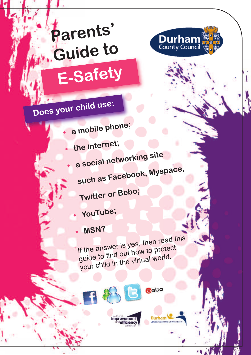### **Parents' Guide to E-Safety**



### **Does your child use:**

**•**

**•**

**•**

**•**

- **<sup>a</sup> mobile phone;**
	- **the internet;**
		- **<sup>a</sup> socia<sup>l</sup> networking site**
		- **such as Facebook, Myspace,**
		-
		- **Twitter or Bebo;**
		- **YouTube;**
		- **•MSN?**

If the answer is yes, then read this guide to find out how to protect your child in the virtua<sup>l</sup> world.

 $O<sub>c</sub>$ 

Durham

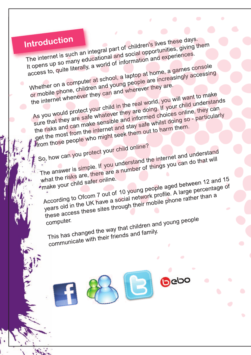### **Introduction**

The internet is such an integral part of children's lives these days.

It opens up so many educational and social opportunities, giving them access to, quite literally, a world of information and experiences. Whether on a computer at school, a laptop at home, a games console

or mobile phone, children and young people are increasingly accessing the internet whenever they can and wherever they are.

As you would protect your child in the real world, you will want to make sure that they are safe whatever they are doing. If your child understands the risks and can make sensible and informed choices online, they can get the most from the internet and stay safe whilst doing so - particularly from those people who might seek them out to harm them.

So, how can you protect your child online? The answer is simple. If you understand the internet and understand what the risks are, there are a number of things you can do that will

make your child safer online. According to Ofcom 7 out of 10 young people aged between 12 and 15 years old in the UK have a social network profile. A large percentage of years old in the UK have a social network profile. these access these sites through their mobile phone rather than a

computer.

This has changed the way that children and young people communicate with their friends and family.

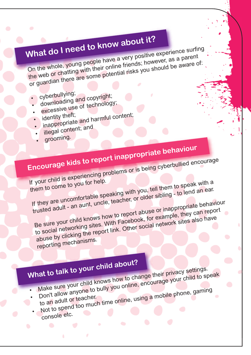## **What do <sup>I</sup> need to know about it?**

On the whole, young people have <sup>a</sup> very positive experience surfing the web or chatting with their online friends; however, as a parent or guardian there are some potential risks you should be aware of:

- cyberbullying;
- downloading and copyright;
- 
- 
- excessive use of technology;<br>• identity theft; • identity theft;<br>• inappropriate and harmful content;
- illegal content; and
- 
- grooming.

# **Encourage kids to report inappropriate behaviour**

If your child is experiencing problems or is being cyberbullied encourage them to come to you for help. If they are uncomfortable speaking with you, tell them to speak with a trusted adult - an aunt, uncle, teacher, or older sibling - to lend an ear. Be sure your child knows how to report abuse or inappropriate behaviour to social networking sites. With Facebook, for example, they can report abuse by clicking the report link. Other social network sites also have

reporting mechanisms.

### **What to talk to your child about?**

- 
- Make sure your child knows how to change their privacy settings. which was a set of bully you online, encourage your child to speak<br>bon't allow anyone to bully you online, using a mobile phone, gaming<br>to an adult or teacher.
- borreance.<br>to an adult or teacher. Finance Sullow anyone to builty you.<br>
to an adult or teacher.<br>
Not to spend too much time online, using a mobile phone, gaming.
- console etc.

 $\bullet$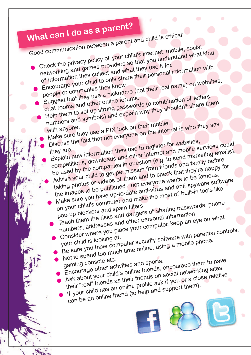### **What can <sup>I</sup> do as <sup>a</sup> parent?**

Good communication between <sup>a</sup> parent and child is critical: Check the privacy policy of your child's internet, mobile, social networking and games providers so that you understand what kind of information they collect and what they use it for.<br>Encourage your child to only share their personal if people or companies they know. Encourage your child to only share their personal information with Encourage your child to driv she.<br>
Encourage your child to driv know.<br>
people or companies they use a nickname (not their real name) on websites,<br>
Suggest that they use a nickname (not their real name) on websites, Suggest that they use a their forums.<br>
Suggest that rooms and other online forums.<br>
thelp them to set up strong passwords (a combination of letters,<br>
Help them to set up strong passwords (a combination of letters, numbers and symbols) and explain why they shouldn't share them<br>with anyone. numbers and the a PIN lock on their mobile.<br>With anyone.<br>Make sure they use a PIN lock on the inter Discuss the fact that not everyone on the internet is who they say<br>they are. they are the internet and mobile services they are. Discuss the fact that the view of register for websites,<br>Explain how information they use to register for websites,<br>Explain how information they use the ition (e.g. to send mark competitions, downloads and other internet and mobile services could be used by the companies in question (e.g. to send marketing emails). Advise your child to get permission from friends and family before taking photos or videos of them and to check that they're happy for the images to be published - not everyone wants to be famous. Make sure you have up-to-date anti-virus and anti-spyware software<br>on your child's computer and make the most of built-in tools like<br>pop-up blockers and spam filters. on your child's computer and make the most of built-in tools like man bour child's computer and there.<br>
pop-up blockers and spam filters.<br>
Teach them the risks and dangers of sharing passwords, phone<br>
Teach them Lizesses and other personal information. numbers, addresses and other persona<sup>l</sup> information. Consider where you place your computer, keep an eye on what umbers, where you place you of the controls.<br>Sonsider where you place your computer security software with parental controls.<br>Be sure you have computer security software with parental controls.

- Consider which looking at.<br>your child is looking at. Not to spend too much time online, using a mobile phone,<br>gaming console etc.<br>Encourage other activities and sports.
- Not to be console etc.<br>
gaming console etc.<br>
Encourage other activities and sports.<br>
Encourage other activities and sports, encourage them to have.<br>
Ask about your child's online friends on social networking sites.
	-
	- their "real" friends as their friends on socia<sup>l</sup> networking sites. If your child has an online profile ask if you or a close relative
	- can be an online friend (to help and support them).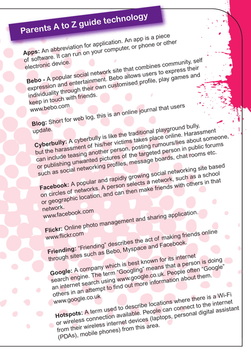## **Parents <sup>A</sup> to <sup>Z</sup> guide technology**

**Apps:** An abbreviation for application. An app is <sup>a</sup> piece of software. It can run on your computer, or phone or other electronic device. **Bebo -** <sup>A</sup> popular socia<sup>l</sup> network site that combines community, self

expression and entertainment. Bebo allows users to express their individuality through their own customised profile, play games and keep in touch with friends.

www.bebo.co<sup>m</sup>

**Blog:** Short for web log, this is an online journal that users<br>update. update.<br> **Cyberbully:** A cyberbully is like the traditional playground bully,<br> **Cyberbully:** A cyberbully is like the traditional place online. Haras but the harassment of his/her victims takes place online. Harassment can include teasing another person, posting rumours/lies about someone, or publishing unwanted pictures of the targeted person in public forums such as social networking profiles, message boards, chat rooms etc.

**Facebook:** <sup>A</sup> popular and rapidly growing socia<sup>l</sup> networking site based on circles of networks. A person selects a network, such as a school or geographic location, and can then make friends with others in that

network. www.facebook.com

**Flickr:** Online photo management and sharing application.<br>www.flickr.com

www.flickr.com<br> **Friending:** "Friending" describes the act of making friends online<br> **Friending:** "Friending" describes the act of making friends online throug<sup>h</sup> sites such as Bebo, Myspace and Facebook.

**Google:** <sup>A</sup> company which is best known for its internet search engine. The term "Googling" means that a person is doing an internet search using www.google.co.uk. People often "Google" others in an attempt to find out more information about them. www.google.co.uk **Hotspots:** <sup>A</sup> term used to describe locations where there is <sup>a</sup> Wi-Fi or wireless connection available. People can connect to the internet

from their wireless internet devices (laptops, personal digital assistant (PDAs), mobile phones) from this area.

 $\bullet$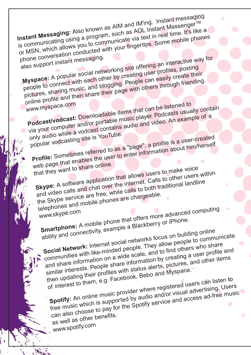**Instant Messaging:** Also known as AIM and IM'ing. Instant messaging Instant Messenger™<br>is communicating using a program, such as AOL Instant Messenger™ or MSN, which allows you to communicate via text in real time. It's like a<br>phone conversation conducted with your fingertips. Some mobile phone<br>also support instant messaging. phone conversation conducted with your fingertips. Some mobile phones

phone conversation<br>also support instant messaging.<br>**Myspace:** A popular social networking site offering an interactive way for<br>**Myspace:** A popular social networking site offering user profiles, posting<br>myspace: A popular people to connect with each other by creating user profiles, posting pictures, sharing music, and blogging. People can easily create their online profile and then share their page with others through friending.

www.myspace.com

**Podcast/vodcast:** Downloadable items that can be listened to via your computer and/or portable music player. Podcasts usually contain<br>only audio while a vodcast contains audio and video. An example of a<br>popular vodcasting site is YouTube. only audio while a vodcast contains audio and video. An example of a

popular vodcasting site is YouTube.<br>Profile: Sometimes referred to as a "page", a profile is a user-created<br>**Profile:** Sometimes referred to as a "page", a profile is a user-created web page that enables the user to enter information about him/herself

that they want to share online.

**Skype:** <sup>A</sup> software application that allows users to make voice and video calls and chat over the internet. Calls to other users within the Skype service are free, while calls to both traditional landline telephones and mobile phones are chargeable.

www.skype.com

**Smartphone:** <sup>A</sup> mobile phone that offers more advanced computing ability and connectivity, example a Blackberry or iPhone.

**Socia<sup>l</sup> Network:** Internet socia<sup>l</sup> networks focus on building online communities with like-minded people. They allow people to communicate and share information on a wide scale, and to find others who share similar interests. People share information by creating a user profile and then updating their profiles with status alerts, pictures, and other items<br>then updating their profiles with status alerts, pictures, and other items

of interest to them, e.g. Facebook, Bebo and Myspace. **Spotify:** An online music provider where registered users can listen to

free music which is supported by audio and/or visual advertising. Users can also choose to pay for the Spotify service and access ad-free music

as well as other benefits.

www.spotify.com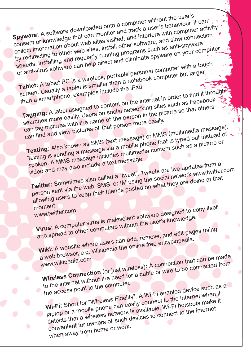**Spyware:** <sup>A</sup> software downloaded onto <sup>a</sup> computer without the user's consent or knowledge that can monitor and track a user's behaviour. It can consent or knowledge that can monitor collect information about web sites visited, and interfere with computer activity by redirecting to other web sites, install other software, and slow connection speeds. Installing and regularly running programs such as anti-spyware or anti-virus software can help direct and eliminate spyware on your computer. Tablet: A tablet PC is a wireless, portable personal computer with a touch screen. Usually a tablet is smaller than a notebook computer but larger than a smartphone, examples include the iPad. **Tagging:** <sup>A</sup> label assigned to content on the internet in order to find it throug<sup>h</sup> searches more easily. Users on social networking sites such as Facebook can tag pictures with the name of the person in the picture so that others can find and view pictures of that person more easily. **Texting:** Also known as SMS (text message) or MMS (multimedia message). Texting is sending a message via a mobile phone that is typed out instead of spoken. A MMS message includes multimedia content such as a picture or video and may also include <sup>a</sup> text message. **Twitter:** Sometimes also called <sup>a</sup> "tweet". Tweets are live updates from <sup>a</sup> person sent via the web, SMS, or IM using the social network www.twitter.com allowing users to keep their friends posted on what they are doing at that moment. **Virus:** <sup>A</sup> computer virus is malevolent software designed to copy itself www.twitter.com and spread to other computers without the user's knowledge. **Wiki:** <sup>A</sup> website where users can add, remove, and edit pages using <sup>a</sup> web browser, e.g. Wikipedia the online free encyclopedia. **Wireless Connection** (or just wireless)**:** <sup>A</sup> connection that can be made www.wikipedia.com to the internet without the need for a cable or wire to be connected from the access point to the computer. **Wi-Fi:** Short for "Wireless Fidelity". <sup>A</sup> Wi-Fi enabled device such as <sup>a</sup> laptop or a mobile phone can easily connect to the internet when it detects that a wireless network is available. Wi-Fi hotspots make it convenient for owners of such devices to connect to the internet when away from home or work.  $\bullet$